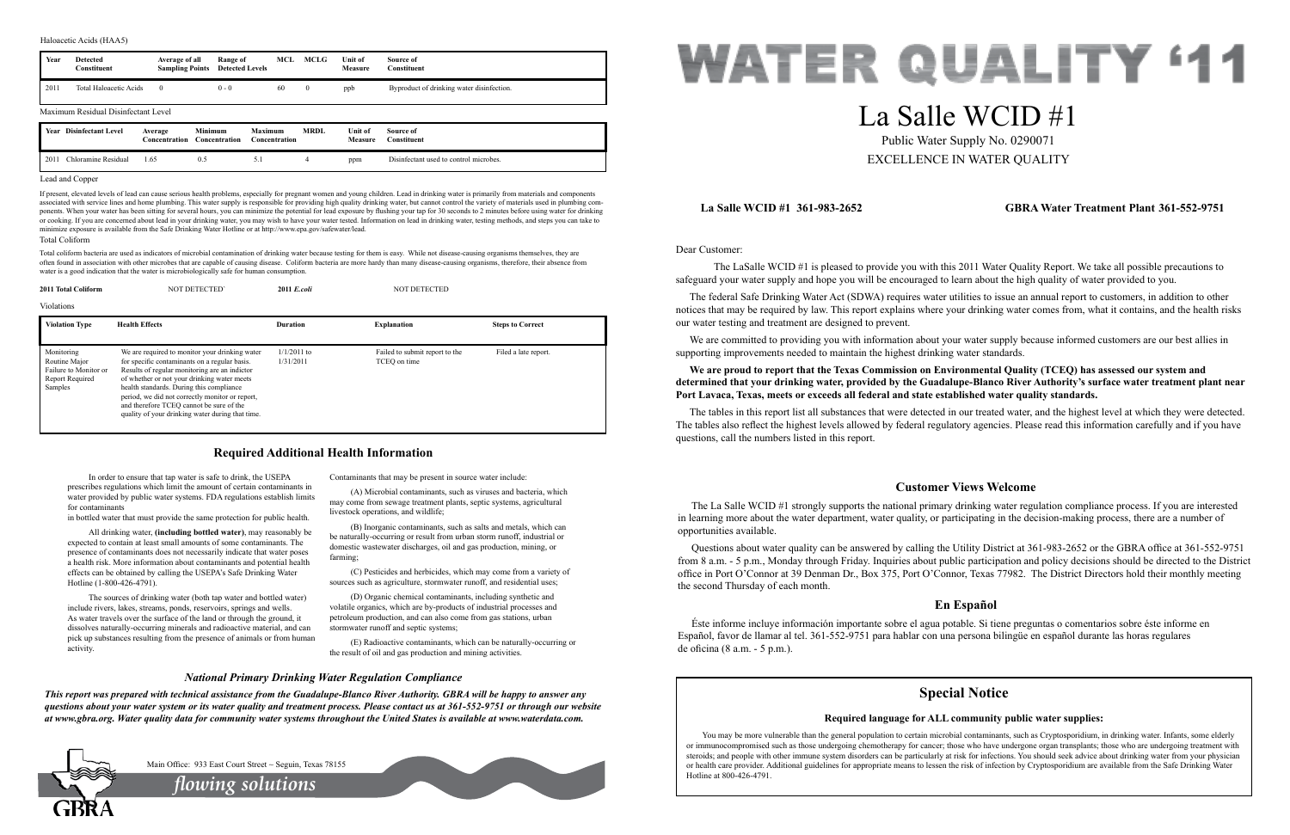Dear Customer:

 The LaSalle WCID #1 is pleased to provide you with this 2011 Water Quality Report. We take all possible precautions to safeguard your water supply and hope you will be encouraged to learn about the high quality of water provided to you.

We are committed to providing you with information about your water supply because informed customers are our best allies in supporting improvements needed to maintain the highest drinking water standards.

The federal Safe Drinking Water Act (SDWA) requires water utilities to issue an annual report to customers, in addition to other notices that may be required by law. This report explains where your drinking water comes from, what it contains, and the health risks our water testing and treatment are designed to prevent.

**We are proud to report that the Texas Commission on Environmental Quality (TCEQ) has assessed our system and determined that your drinking water, provided by the Guadalupe-Blanco River Authority's surface water treatment plant near Port Lavaca, Texas, meets or exceeds all federal and state established water quality standards.**

The tables in this report list all substances that were detected in our treated water, and the highest level at which they were detected. The tables also reflect the highest levels allowed by federal regulatory agencies. Please read this information carefully and if you have questions, call the numbers listed in this report.

## **La Salle WCID #1 361-983-2652 GBRA Water Treatment Plant 361-552-9751**

## **Customer Views Welcome**

The La Salle WCID #1 strongly supports the national primary drinking water regulation compliance process. If you are interested in learning more about the water department, water quality, or participating in the decision-making process, there are a number of opportunities available.

(C) Pesticides and herbicides, which may come from a variety of sources such as agriculture, stormwater runoff, and residential uses;

Questions about water quality can be answered by calling the Utility District at 361-983-2652 or the GBRA office at 361-552-9751 from 8 a.m. - 5 p.m., Monday through Friday. Inquiries about public participation and policy decisions should be directed to the District office in Port O'Connor at 39 Denman Dr., Box 375, Port O'Connor, Texas 77982. The District Directors hold their monthly meeting the second Thursday of each month.

## **En Español**

Éste informe incluye información importante sobre el agua potable. Si tiene preguntas o comentarios sobre éste informe en Español, favor de llamar al tel. 361-552-9751 para hablar con una persona bilingüe en español durante las horas regulares de oficina (8 a.m. - 5 p.m.).

In order to ensure that tap water is safe to drink, the USEPA prescribes regulations which limit the amount of certain contaminants in water provided by public water systems. FDA regulations establish limits for contaminants

in bottled water that must provide the same protection for public health.

All drinking water, **(including bottled water)**, may reasonably be expected to contain at least small amounts of some contaminants. The presence of contaminants does not necessarily indicate that water poses a health risk. More information about contaminants and potential health effects can be obtained by calling the USEPA's Safe Drinking Water Hotline (1-800-426-4791).

The sources of drinking water (both tap water and bottled water) include rivers, lakes, streams, ponds, reservoirs, springs and wells. As water travels over the surface of the land or through the ground, it dissolves naturally-occurring minerals and radioactive material, and can pick up substances resulting from the presence of animals or from human activity.

Contaminants that may be present in source water include:

(A) Microbial contaminants, such as viruses and bacteria, which may come from sewage treatment plants, septic systems, agricultural livestock operations, and wildlife;

> You may be more vulnerable than the general population to certain microbial contaminants, such as Cryptosporidium, in drinking water. Infants, some elderly or immunocompromised such as those undergoing chemotherapy for cancer; those who have undergone organ transplants; those who are undergoing treatment with steroids; and people with other immune system disorders can be particularly at risk for infections. You should seek advice about drinking water from your physician or health care provider. Additional guidelines for appropriate means to lessen the risk of infection by Cryptosporidium are available from the Safe Drinking Water Hotline at 800-426-4791.



(B) Inorganic contaminants, such as salts and metals, which can be naturally-occurring or result from urban storm runoff, industrial or domestic wastewater discharges, oil and gas production, mining, or farming;

(D) Organic chemical contaminants, including synthetic and volatile organics, which are by-products of industrial processes and petroleum production, and can also come from gas stations, urban stormwater runoff and septic systems;

(E) Radioactive contaminants, which can be naturally-occurring or the result of oil and gas production and mining activities.

## **Required Additional Health Information**

## *National Primary Drinking Water Regulation Compliance*

*This report was prepared with technical assistance from the Guadalupe-Blanco River Authority. GBRA will be happy to answer any questions about your water system or its water quality and treatment process. Please contact us at 361-552-9751 or through our website at www.gbra.org. Water quality data for community water systems throughout the United States is available at www.waterdata.com.*



# La Salle WCID #1 Public Water Supply No. 0290071

EXCELLENCE IN WATER QUALITY

#### Lead and Copper

If present, elevated levels of lead can cause serious health problems, especially for pregnant women and young children. Lead in drinking water is primarily from materials and components associated with service lines and home plumbing. This water supply is responsible for providing high quality drinking water, but cannot control the variety of materials used in plumbing components. When your water has been sitting for several hours, you can minimize the potential for lead exposure by flushing your tap for 30 seconds to 2 minutes before using water for drinking or cooking. If you are concerned about lead in your drinking water, you may wish to have your water tested. Information on lead in drinking water, testing methods, and steps you can take to minimize exposure is available from the Safe Drinking Water Hotline or at http://www.epa.gov/safewater/lead.

| Year | <b>Detected</b><br><b>Constituent</b> | Average of all<br><b>Sampling Points</b> | Range of<br><b>Detected Levels</b> | MCL                             | MCLG         | Unit of<br>Measure | Source of<br>Constituent                  |
|------|---------------------------------------|------------------------------------------|------------------------------------|---------------------------------|--------------|--------------------|-------------------------------------------|
| 2011 | <b>Total Haloacetic Acids</b>         | $\theta$                                 | $0 - 0$                            | 60                              | $\mathbf{0}$ | ppb                | Byproduct of drinking water disinfection. |
|      | Maximum Residual Disinfectant Level   |                                          |                                    |                                 |              |                    |                                           |
| Year | <b>Disinfectant Level</b>             | Average<br><b>Concentration</b>          | <b>Minimum</b><br>Concentration    | Maximum<br><b>Concentration</b> | <b>MRDL</b>  | Unit of<br>Measure | Source of<br>Constituent                  |
| 2011 | Chloramine Residual                   | 1.65                                     | 0.5                                | 5.1                             | 4            | ppm                | Disinfectant used to control microbes.    |

#### Haloacetic Acids (HAA5)

#### Total Coliform

Total coliform bacteria are used as indicators of microbial contamination of drinking water because testing for them is easy. While not disease-causing organisms themselves, they are often found in association with other microbes that are capable of causing disease. Coliform bacteria are more hardy than many disease-causing organisms, therefore, their absence from water is a good indication that the water is microbiologically safe for human consumption.

*flowing solutions*

Main Office: 933 East Court Street ~ Seguin, Texas 78155

## **Special Notice**

## **Required language for ALL community public water supplies:**

| 2011 Total Coliform                                                                | <b>NOT DETECTED</b>                                                                                                                                                                                                                                                                                                                                                                            | 2011 E.coli                | <b>NOT DETECTED</b>                            |                         |  |
|------------------------------------------------------------------------------------|------------------------------------------------------------------------------------------------------------------------------------------------------------------------------------------------------------------------------------------------------------------------------------------------------------------------------------------------------------------------------------------------|----------------------------|------------------------------------------------|-------------------------|--|
| Violations                                                                         |                                                                                                                                                                                                                                                                                                                                                                                                |                            |                                                |                         |  |
| <b>Violation Type</b>                                                              | <b>Health Effects</b>                                                                                                                                                                                                                                                                                                                                                                          | <b>Duration</b>            | <b>Explanation</b>                             | <b>Steps to Correct</b> |  |
| Monitoring<br>Routine Major<br>Failure to Monitor or<br>Report Required<br>Samples | We are required to monitor your drinking water<br>for specific contaminants on a regular basis.<br>Results of regular monitoring are an indictor<br>of whether or not your drinking water meets<br>health standards. During this compliance<br>period, we did not correctly monitor or report,<br>and therefore TCEO cannot be sure of the<br>quality of your drinking water during that time. | $1/1/2011$ to<br>1/31/2011 | Failed to submit report to the<br>TCEO on time | Filed a late report.    |  |